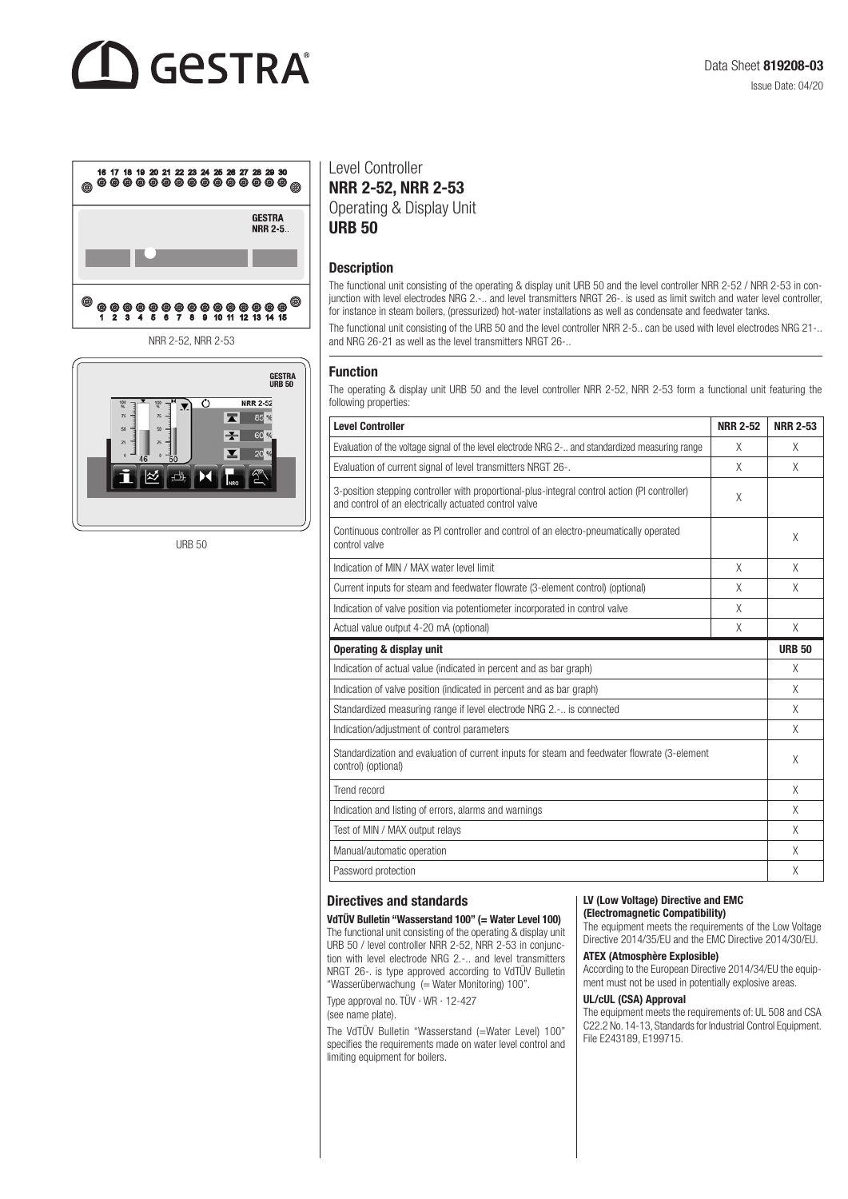## GESTRA



NRR 2-52, NRR 2-53



URB 50

Level Controller NRR 2-52, NRR 2-53 Operating & Display Unit URB 50

## **Description**

The functional unit consisting of the operating & display unit URB 50 and the level controller NRR 2-52 / NRR 2-53 in conjunction with level electrodes NRG 2.-.. and level transmitters NRGT 26-. is used as limit switch and water level controller, for instance in steam boilers, (pressurized) hot-water installations as well as condensate and feedwater tanks.

The functional unit consisting of the URB 50 and the level controller NRR 2-5.. can be used with level electrodes NRG 21-.. and NRG 26-21 as well as the level transmitters NRGT 26-..

### Function

The operating & display unit URB 50 and the level controller NRR 2-52, NRR 2-53 form a functional unit featuring the following properties:

| <b>Level Controller</b>                                                                                                                                | <b>NRR 2-52</b> | <b>NRR 2-53</b> |
|--------------------------------------------------------------------------------------------------------------------------------------------------------|-----------------|-----------------|
| Evaluation of the voltage signal of the level electrode NRG 2- and standardized measuring range                                                        | X               | X               |
| Evaluation of current signal of level transmitters NRGT 26-.                                                                                           | X               | X               |
| 3-position stepping controller with proportional-plus-integral control action (PI controller)<br>and control of an electrically actuated control valve | X               |                 |
| Continuous controller as PI controller and control of an electro-pneumatically operated<br>control valve                                               |                 | X               |
| Indication of MIN / MAX water level limit                                                                                                              | X               | X               |
| Current inputs for steam and feedwater flowrate (3-element control) (optional)                                                                         | X               | X               |
| Indication of valve position via potentiometer incorporated in control valve                                                                           | X               |                 |
| Actual value output 4-20 mA (optional)                                                                                                                 | X               | X               |
| Operating & display unit                                                                                                                               |                 | <b>URB 50</b>   |
| Indication of actual value (indicated in percent and as bar graph)                                                                                     |                 | X               |
| Indication of valve position (indicated in percent and as bar graph)                                                                                   |                 | X               |
| Standardized measuring range if level electrode NRG 2.- is connected                                                                                   |                 | X               |
| Indication/adjustment of control parameters                                                                                                            |                 | X               |
| Standardization and evaluation of current inputs for steam and feedwater flowrate (3-element<br>control) (optional)                                    |                 | X               |
| Trend record                                                                                                                                           |                 | X               |
| Indication and listing of errors, alarms and warnings                                                                                                  |                 | X               |
| Test of MIN / MAX output relays                                                                                                                        |                 | X               |
| Manual/automatic operation                                                                                                                             |                 | X               |
| Password protection                                                                                                                                    |                 | X               |

## Directives and standards

VdTÜV Bulletin "Wasserstand 100" (= Water Level 100) The functional unit consisting of the operating & display unit URB 50 / level controller NRR 2-52, NRR 2-53 in conjunction with level electrode NRG 2.-.. and level transmitters NRGT 26-. is type approved according to VdTÜV Bulletin "Wasserüberwachung (= Water Monitoring) 100".

Type approval no. TÜV · WR · 12-427 (see name plate).

The VdTÜV Bulletin "Wasserstand (=Water Level) 100" specifies the requirements made on water level control and limiting equipment for boilers.

#### LV (Low Voltage) Directive and EMC (Electromagnetic Compatibility)

The equipment meets the requirements of the Low Voltage Directive 2014/35/EU and the EMC Directive 2014/30/EU.

#### ATEX (Atmosphère Explosible)

According to the European Directive 2014/34/EU the equipment must not be used in potentially explosive areas.

#### UL/cUL (CSA) Approval

The equipment meets the requirements of: UL 508 and CSA C22.2 No. 14-13, Standards for Industrial Control Equipment. File E243189, E199715.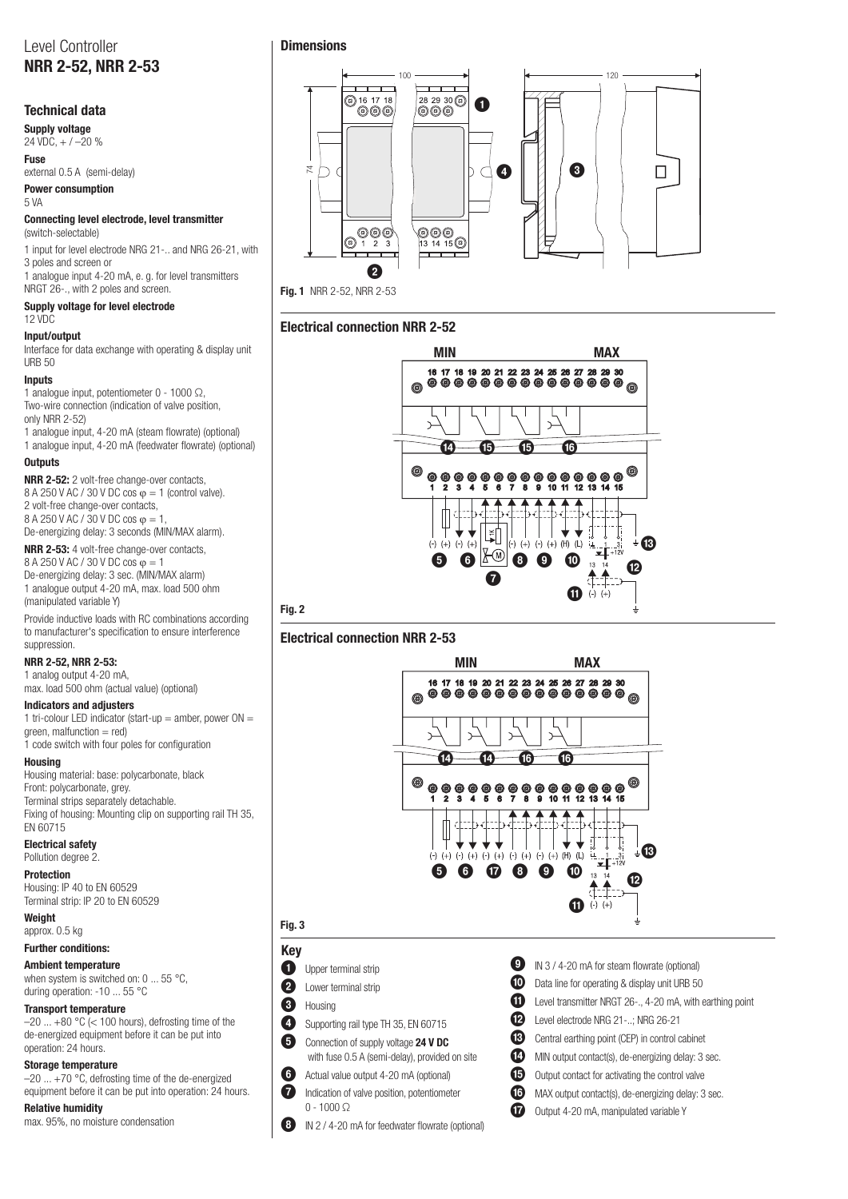## Level Controller NRR 2-52, NRR 2-53

## Technical data

Supply voltage 24 VDC, + / –20 %

Fuse

## external 0.5 A (semi-delay) Power consumption

5 VA

#### Connecting level electrode, level transmitter (switch-selectable)

1 input for level electrode NRG 21-.. and NRG 26-21, with 3 poles and screen or

1 analogue input 4-20 mA, e. g. for level transmitters NRGT 26-., with 2 poles and screen.

#### Supply voltage for level electrode 12 VDC

## Input/output

Interface for data exchange with operating & display unit URB 50

## Inputs

1 analogue input, potentiometer 0 - 1000 Ω, Two-wire connection (indication of valve position, only NRR 2-52)

1 analogue input, 4-20 mA (steam flowrate) (optional) 1 analogue input, 4-20 mA (feedwater flowrate) (optional)

## **Outputs**

NRR 2-52: 2 volt-free change-over contacts, 8 A 250 V AC / 30 V DC cos  $\varphi = 1$  (control valve). 2 volt-free change-over contacts, 8 A 250 V AC / 30 V DC cos  $\varphi = 1$ De-energizing delay: 3 seconds (MIN/MAX alarm).

NRR 2-53: 4 volt-free change-over contacts, 8 A 250 V AC / 30 V DC cos φ = 1 De-energizing delay: 3 sec. (MIN/MAX alarm) 1 analogue output 4-20 mA, max. load 500 ohm

(manipulated variable Y) Provide inductive loads with RC combinations according to manufacturer's specification to ensure interference suppression.

## NRR 2-52, NRR 2-53:

1 analog output 4-20 mA, max. load 500 ohm (actual value) (optional)

## Indicators and adjusters

1 tri-colour LED indicator (start-up  $=$  amber, power ON  $=$  $green$ , malfunction = red) 1 code switch with four poles for configuration

## Housing

Housing material: base: polycarbonate, black Front: polycarbonate, grey. Terminal strips separately detachable. Fixing of housing: Mounting clip on supporting rail TH 35, EN 60715

## Electrical safety

Pollution degree 2.

## Protection

Housing: IP 40 to EN 60529 Terminal strip: IP 20 to EN 60529

Weight approx. 0.5 kg

## Further conditions:

Ambient temperature when system is switched on: 0 ... 55 °C, during operation: -10 ... 55 °C

## Transport temperature

 $-20$  ...  $+80$  °C (< 100 hours), defrosting time of the de-energized equipment before it can be put into operation: 24 hours.

## Storage temperature

–20 ... +70 °C, defrosting time of the de-energized equipment before it can be put into operation: 24 hours.

#### Relative humidity max. 95%, no moisture condensation

## **Dimensions**



Fig. 1 NRR 2-52, NRR 2-53

## Electrical connection NRR 2-52



## Electrical connection NRR 2-53



## Fig. 3

Fig. 2

Key **1** Upper terminal strip

2 Lower terminal strip

## 3 Housing

4 Supporting rail type TH 35, EN 60715

**5** Connection of supply voltage 24 V DC

- with fuse 0.5 A (semi-delay), provided on site
- 6 Actual value output 4-20 mA (optional)
- **7** Indication of valve position, potentiometer
	- $0 1000$   $\circ$
- 8 IN 2 / 4-20 mA for feedwater flowrate (optional)

| Ø          | IN 3/4-2    |
|------------|-------------|
| ⋒          | Data line f |
| ➊          | Level tran: |
| ℗          | Level elec  |
| ®          | Central ea  |
| ❻          | MIN outpu   |
| $\bf \Phi$ | Output co   |
| $\bf \Phi$ | MAX outp    |
| ⋒          | Output 4-:  |

- 20 mA for steam flowrate (optional) for operating & display unit URB 50
- 
- smitter NRGT 26-., 4-20 mA, with earthing point
- trode NRG 21-..: NRG 26-21
- arthing point (CEP) in control cabinet
- d contact(s), de-energizing delay: 3 sec.
- ntact for activating the control valve
- ut contact(s), de-energizing delay: 3 sec.
	- 20 mA, manipulated variable Y